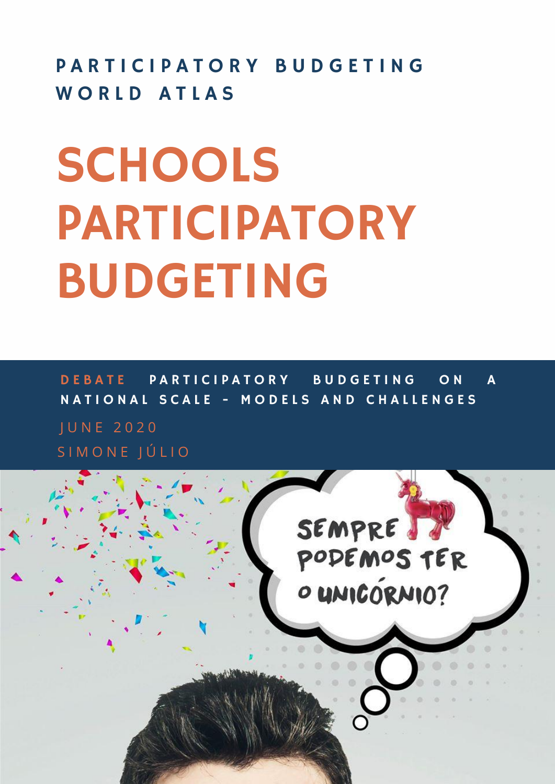PARTICIPATORY BUDGETING WORLD ATLAS

# **SCHOOLS** PARTICIPATORY BUDGETING

J U N E 2 0 2 0 S I M O N E J Ú L I O DEBATE PARTICIPATORY BUDGETING ON A NATIONAL SCALE - MODELS AND CHALLENGES

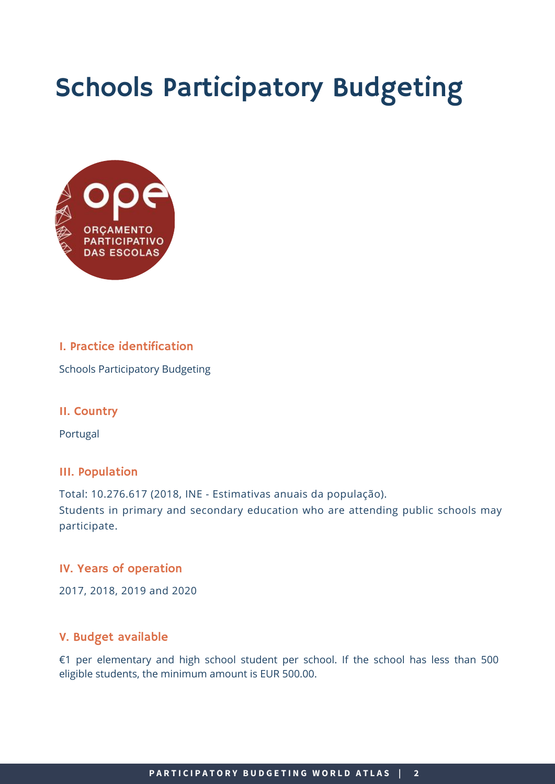# Schools Participatory Budgeting



# I. Practice identification

Schools Participatory Budgeting

## II. Country

Portugal

## III. Population

Total: 10.276.617 (2018, INE - Estimativas anuais da população). Students in primary and secondary education who are attending public schools may participate.

## IV. Years of operation

2017, 2018, 2019 and 2020

# V. Budget available

€1 per elementary and high school student per school. If the school has less than 500 eligible students, the minimum amount is EUR 500.00.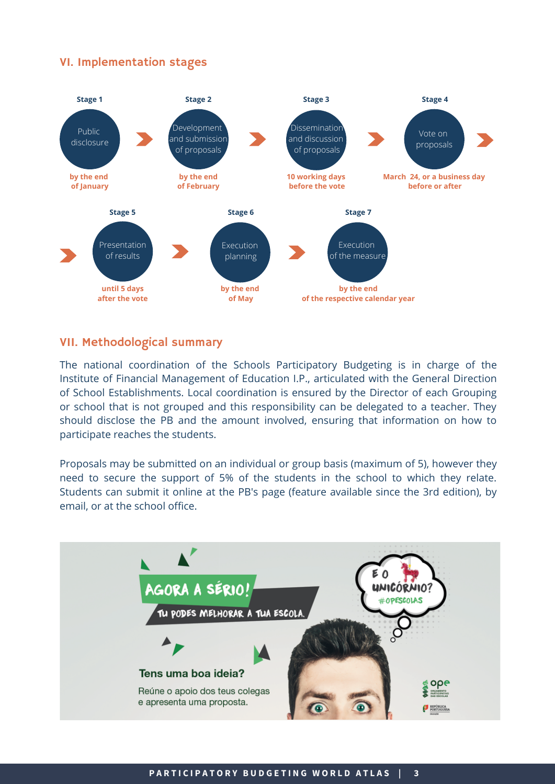# VI. Implementation stages



#### VII. Methodological summary

The national coordination of the Schools Participatory Budgeting is in charge of the Institute of Financial Management of Education I.P., articulated with the General Direction of School Establishments. Local coordination is ensured by the Director of each Grouping or school that is not grouped and this responsibility can be delegated to a teacher. They should disclose the PB and the amount involved, ensuring that information on how to participate reaches the students.

Proposals may be submitted on an individual or group basis (maximum of 5), however they need to secure the support of 5% of the students in the school to which they relate. Students can submit it online at the PB's page (feature available since the 3rd edition), by email, or at the school office.